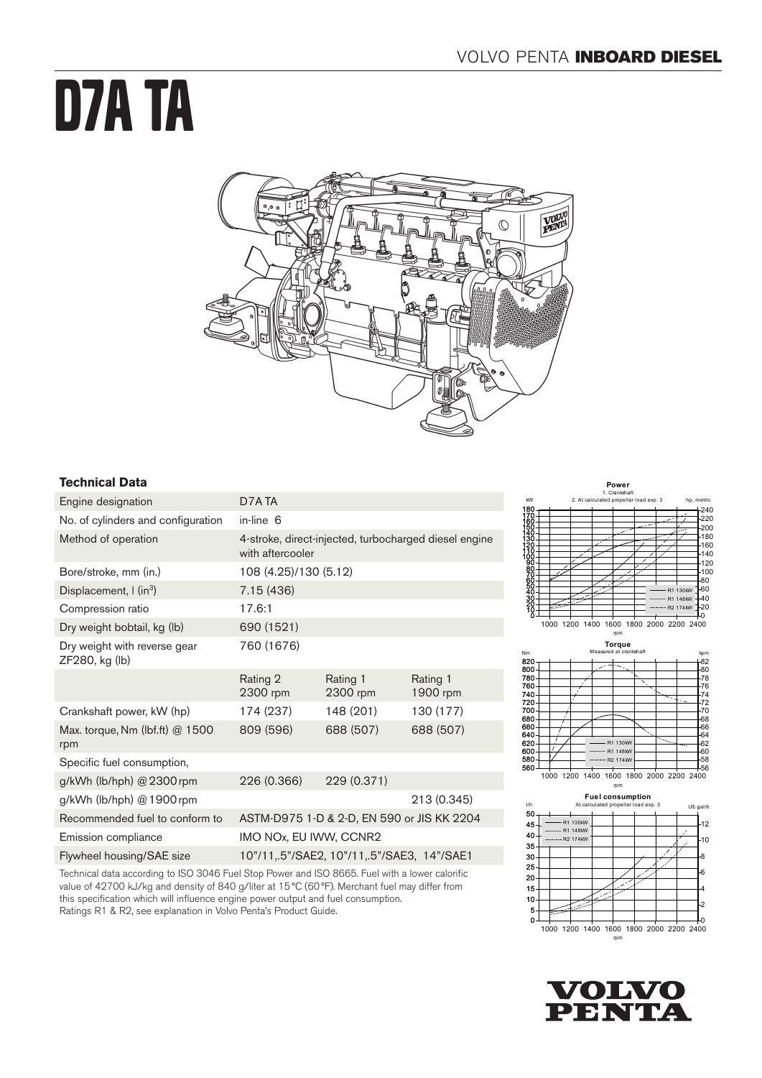# D7A TA



# **Technical Data**

| Engine designation                                                                               | D7A TA                                                                    |                      |                      |
|--------------------------------------------------------------------------------------------------|---------------------------------------------------------------------------|----------------------|----------------------|
| No. of cylinders and configuration                                                               | in-line 6                                                                 |                      |                      |
| Method of operation                                                                              | 4-stroke, direct-injected, turbocharged diesel engine<br>with aftercooler |                      |                      |
| Bore/stroke, mm (in.)                                                                            | 108 (4.25)/130 (5.12)                                                     |                      |                      |
| Displacement, $\int$ (in <sup>3</sup> )                                                          | 7.15 (436)                                                                |                      |                      |
| Compression ratio                                                                                | 17.6:1                                                                    |                      |                      |
| Dry weight bobtail, kg (lb)                                                                      | 690 (1521)                                                                |                      |                      |
| Dry weight with reverse gear<br>ZF280, kg (lb)                                                   | 760 (1676)                                                                |                      |                      |
|                                                                                                  | Rating 2<br>2300 rpm                                                      | Rating 1<br>2300 rpm | Rating 1<br>1900 rpm |
| Crankshaft power, kW (hp)                                                                        | 174 (237)                                                                 | 148 (201)            | 130 (177)            |
| Max. torque, Nm (lbf.ft) @ 1500<br>rpm                                                           | 809 (596)                                                                 | 688 (507)            | 688 (507)            |
| Specific fuel consumption,                                                                       |                                                                           |                      |                      |
| g/kWh (lb/hph) @ 2300 rpm                                                                        | 226 (0.366)                                                               | 229 (0.371)          |                      |
| g/kWh (lb/hph) @ 1900 rpm                                                                        |                                                                           |                      | 213 (0.345)          |
| Recommended fuel to conform to                                                                   | ASTM-D975 1-D & 2-D, EN 590 or JIS KK 2204                                |                      |                      |
| Emission compliance                                                                              | IMO NOx, EU IWW, CCNR2                                                    |                      |                      |
| Flywheel housing/SAE size                                                                        | 10"/11,.5"/SAE2, 10"/11,.5"/SAE3, 14"/SAE1                                |                      |                      |
| Technical deta acception to ICO 2010 Fuel Clan Dauguerard ICO OGGE, Fuel with a faugueral office |                                                                           |                      |                      |

Technical data according to ISO 3046 Fuel Stop Power and ISO 8665. Fuel with a lower calorific value of 42700 kJ/kg and density of 840 g/liter at 15°C (60°F). Merchant fuel may differ from this specification which will influence engine power output and fuel consumption. Ratings R1 & R2, see explanation in Volvo Penta's Product Guide.